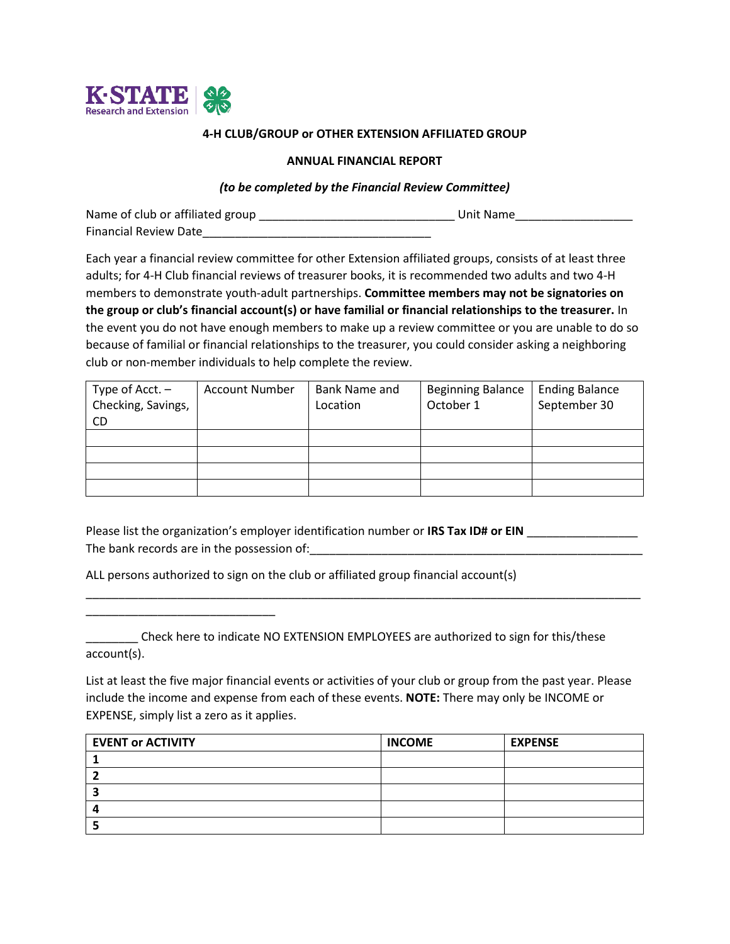

### **4-H CLUB/GROUP or OTHER EXTENSION AFFILIATED GROUP**

#### **ANNUAL FINANCIAL REPORT**

#### *(to be completed by the Financial Review Committee)*

| Name of club or affiliated group | Unit Name |
|----------------------------------|-----------|
| <b>Financial Review Date</b>     |           |

Each year a financial review committee for other Extension affiliated groups, consists of at least three adults; for 4-H Club financial reviews of treasurer books, it is recommended two adults and two 4-H members to demonstrate youth-adult partnerships. **Committee members may not be signatories on the group or club's financial account(s) or have familial or financial relationships to the treasurer.** In the event you do not have enough members to make up a review committee or you are unable to do so because of familial or financial relationships to the treasurer, you could consider asking a neighboring club or non-member individuals to help complete the review.

| Type of $Acct.$ –  | <b>Account Number</b> | Bank Name and | <b>Beginning Balance</b> | <b>Ending Balance</b> |
|--------------------|-----------------------|---------------|--------------------------|-----------------------|
| Checking, Savings, |                       | Location      | October 1                | September 30          |
| CD.                |                       |               |                          |                       |
|                    |                       |               |                          |                       |
|                    |                       |               |                          |                       |
|                    |                       |               |                          |                       |
|                    |                       |               |                          |                       |

Please list the organization's employer identification number or **IRS Tax ID# or EIN** \_\_\_\_\_\_\_\_\_\_\_\_\_\_\_\_\_ The bank records are in the possession of:\_\_\_\_\_\_\_\_\_\_\_\_\_\_\_\_\_\_\_\_\_\_\_\_\_\_\_\_\_\_\_\_\_\_\_\_\_\_\_\_\_\_\_\_\_\_\_\_\_\_\_

\_\_\_\_\_\_\_\_\_\_\_\_\_\_\_\_\_\_\_\_\_\_\_\_\_\_\_\_\_\_\_\_\_\_\_\_\_\_\_\_\_\_\_\_\_\_\_\_\_\_\_\_\_\_\_\_\_\_\_\_\_\_\_\_\_\_\_\_\_\_\_\_\_\_\_\_\_\_\_\_\_\_\_\_\_

ALL persons authorized to sign on the club or affiliated group financial account(s)

\_\_\_\_\_\_\_\_\_\_\_\_\_\_\_\_\_\_\_\_\_\_\_\_\_\_\_\_\_

\_\_\_\_\_\_\_\_ Check here to indicate NO EXTENSION EMPLOYEES are authorized to sign for this/these account(s).

List at least the five major financial events or activities of your club or group from the past year. Please include the income and expense from each of these events. **NOTE:** There may only be INCOME or EXPENSE, simply list a zero as it applies.

| <b>EVENT or ACTIVITY</b> | <b>INCOME</b> | <b>EXPENSE</b> |
|--------------------------|---------------|----------------|
|                          |               |                |
|                          |               |                |
|                          |               |                |
|                          |               |                |
|                          |               |                |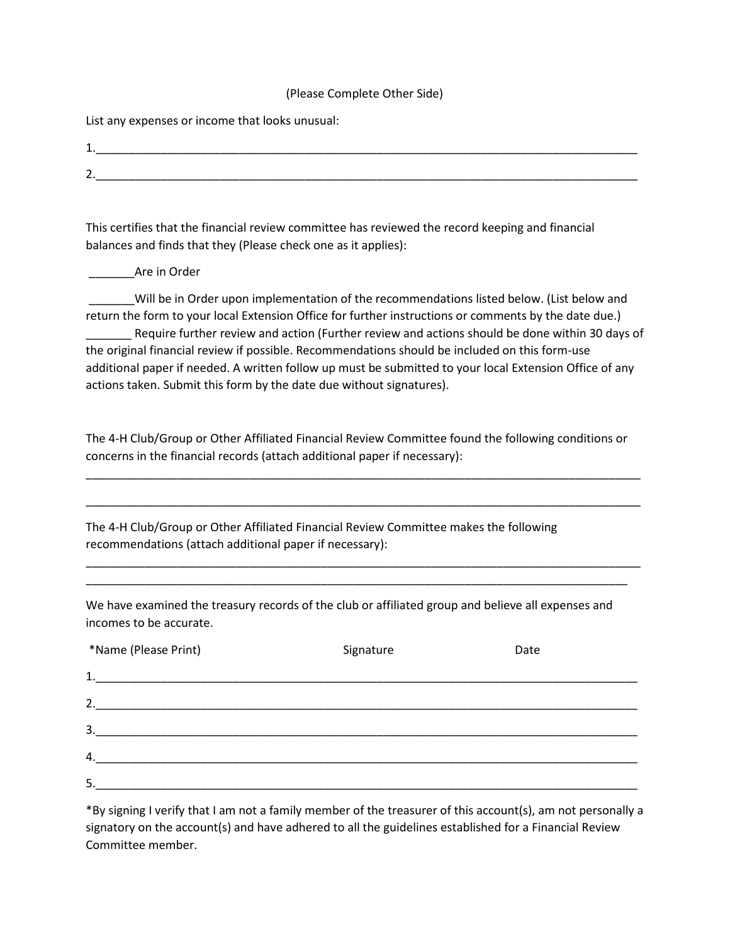#### (Please Complete Other Side)

List any expenses or income that looks unusual:

| -<br><u>. на с</u> |  |  |  |
|--------------------|--|--|--|
| -<br><u>.</u>      |  |  |  |

This certifies that the financial review committee has reviewed the record keeping and financial balances and finds that they (Please check one as it applies):

\_\_\_\_\_\_\_Are in Order

\_\_\_\_\_\_\_Will be in Order upon implementation of the recommendations listed below. (List below and return the form to your local Extension Office for further instructions or comments by the date due.) \_\_\_\_\_\_\_ Require further review and action (Further review and actions should be done within 30 days of the original financial review if possible. Recommendations should be included on this form-use additional paper if needed. A written follow up must be submitted to your local Extension Office of any actions taken. Submit this form by the date due without signatures).

The 4-H Club/Group or Other Affiliated Financial Review Committee found the following conditions or concerns in the financial records (attach additional paper if necessary):

\_\_\_\_\_\_\_\_\_\_\_\_\_\_\_\_\_\_\_\_\_\_\_\_\_\_\_\_\_\_\_\_\_\_\_\_\_\_\_\_\_\_\_\_\_\_\_\_\_\_\_\_\_\_\_\_\_\_\_\_\_\_\_\_\_\_\_\_\_\_\_\_\_\_\_\_\_\_\_\_\_\_\_\_\_

\_\_\_\_\_\_\_\_\_\_\_\_\_\_\_\_\_\_\_\_\_\_\_\_\_\_\_\_\_\_\_\_\_\_\_\_\_\_\_\_\_\_\_\_\_\_\_\_\_\_\_\_\_\_\_\_\_\_\_\_\_\_\_\_\_\_\_\_\_\_\_\_\_\_\_\_\_\_\_\_\_\_\_\_\_

\_\_\_\_\_\_\_\_\_\_\_\_\_\_\_\_\_\_\_\_\_\_\_\_\_\_\_\_\_\_\_\_\_\_\_\_\_\_\_\_\_\_\_\_\_\_\_\_\_\_\_\_\_\_\_\_\_\_\_\_\_\_\_\_\_\_\_\_\_\_\_\_\_\_\_\_\_\_\_\_\_\_\_\_\_ \_\_\_\_\_\_\_\_\_\_\_\_\_\_\_\_\_\_\_\_\_\_\_\_\_\_\_\_\_\_\_\_\_\_\_\_\_\_\_\_\_\_\_\_\_\_\_\_\_\_\_\_\_\_\_\_\_\_\_\_\_\_\_\_\_\_\_\_\_\_\_\_\_\_\_\_\_\_\_\_\_\_\_

The 4-H Club/Group or Other Affiliated Financial Review Committee makes the following recommendations (attach additional paper if necessary):

We have examined the treasury records of the club or affiliated group and believe all expenses and incomes to be accurate.

| *Name (Please Print)                                            | Signature | Date |
|-----------------------------------------------------------------|-----------|------|
|                                                                 |           |      |
| 2.                                                              |           |      |
| 3.<br><u> 1989 - John Stein, Amerikaansk politiker (* 1958)</u> |           |      |
| 4.                                                              |           |      |
| 5.                                                              |           |      |

\*By signing I verify that I am not a family member of the treasurer of this account(s), am not personally a signatory on the account(s) and have adhered to all the guidelines established for a Financial Review Committee member.